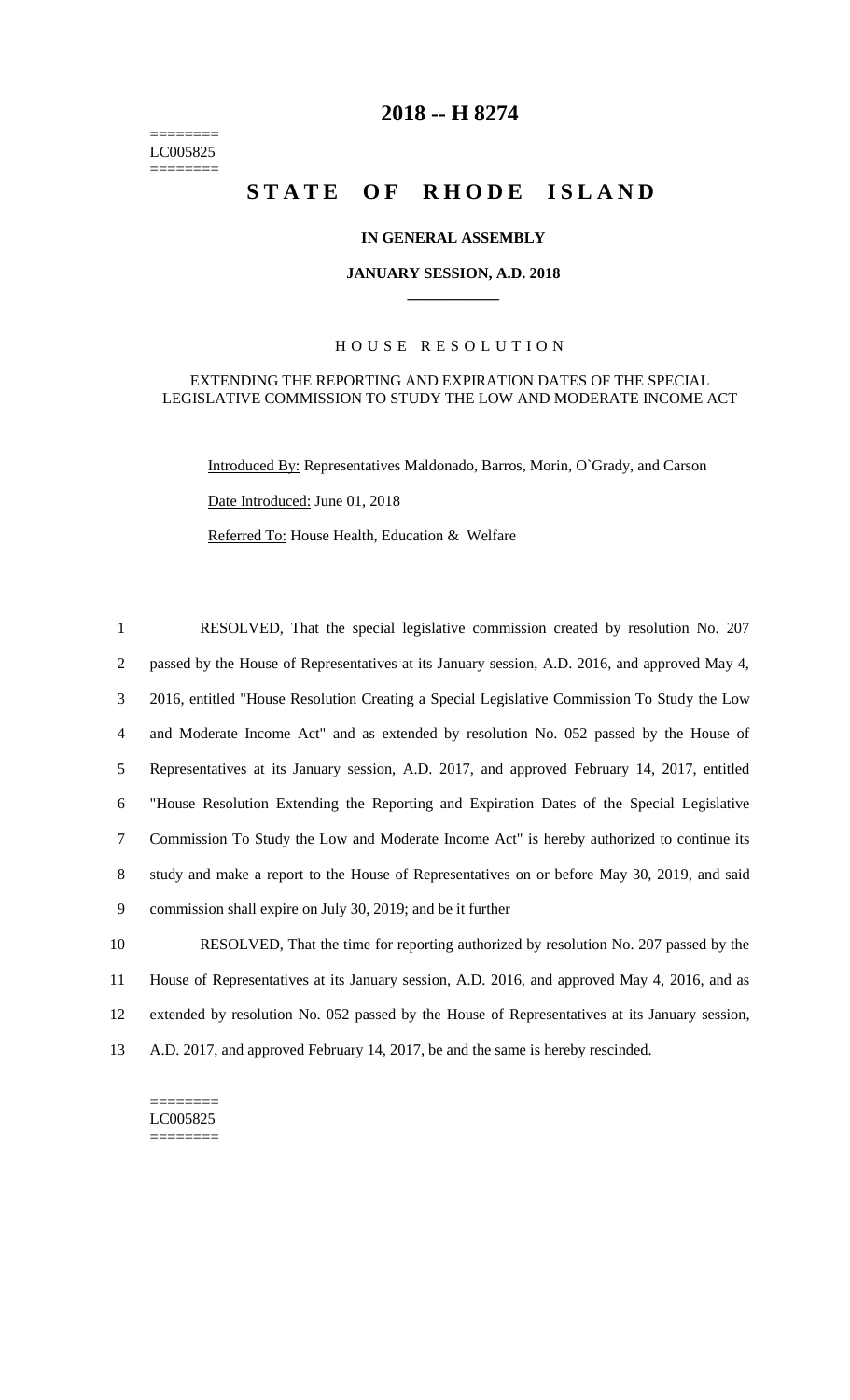======== LC005825 ========

# **2018 -- H 8274**

# STATE OF RHODE ISLAND

### **IN GENERAL ASSEMBLY**

#### **JANUARY SESSION, A.D. 2018 \_\_\_\_\_\_\_\_\_\_\_\_**

### H O U S E R E S O L U T I O N

### EXTENDING THE REPORTING AND EXPIRATION DATES OF THE SPECIAL LEGISLATIVE COMMISSION TO STUDY THE LOW AND MODERATE INCOME ACT

Introduced By: Representatives Maldonado, Barros, Morin, O`Grady, and Carson

Date Introduced: June 01, 2018

Referred To: House Health, Education & Welfare

 RESOLVED, That the special legislative commission created by resolution No. 207 passed by the House of Representatives at its January session, A.D. 2016, and approved May 4, 2016, entitled "House Resolution Creating a Special Legislative Commission To Study the Low and Moderate Income Act" and as extended by resolution No. 052 passed by the House of Representatives at its January session, A.D. 2017, and approved February 14, 2017, entitled "House Resolution Extending the Reporting and Expiration Dates of the Special Legislative Commission To Study the Low and Moderate Income Act" is hereby authorized to continue its study and make a report to the House of Representatives on or before May 30, 2019, and said commission shall expire on July 30, 2019; and be it further RESOLVED, That the time for reporting authorized by resolution No. 207 passed by the

11 House of Representatives at its January session, A.D. 2016, and approved May 4, 2016, and as 12 extended by resolution No. 052 passed by the House of Representatives at its January session, 13 A.D. 2017, and approved February 14, 2017, be and the same is hereby rescinded.

======== LC005825 ========